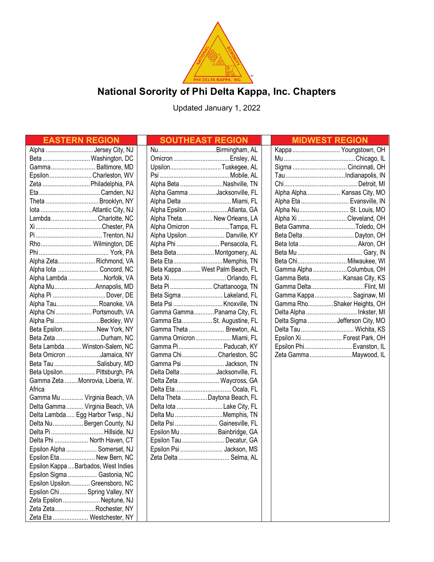

# **National Sorority of Phi Delta Kappa, Inc. Chapters**

Updated January 1, 2022

| <b>EASTERN REGION</b>                | <b>SOUTHEAST REGION</b>         | <b>MIDWEST REGION</b>          |
|--------------------------------------|---------------------------------|--------------------------------|
| Alpha Jersey City, NJ                |                                 | Kappa  Youngstown, OH          |
| Beta  Washington, DC                 |                                 |                                |
| Gamma Baltimore, MD                  | UpsilonTuskegee, AL             | Sigma  Cincinnati, OH          |
| EpsilonCharleston, WV                |                                 |                                |
| Zeta  Philadelphia, PA               | Alpha Beta Nashville, TN        |                                |
| EtaCamden, NJ                        | Alpha Gamma Jacksonville, FL    | Alpha Alpha Kansas City, MO    |
| Theta  Brooklyn, NY                  | Alpha Delta  Miami, FL          | Alpha Eta  Evansville, IN      |
|                                      | Alpha Epsilon Atlanta, GA       | Alpha Nu St. Louis, MO         |
| Lambda Charlotte, NC                 | Alpha Theta New Orleans, LA     | Alpha Xi Cleveland, OH         |
|                                      | Alpha Omicron Tampa, FL         | Beta GammaToledo, OH           |
|                                      | Alpha Upsilon Danville, KY      | Beta Delta  Dayton, OH         |
| Rho Wilmington, DE                   | Alpha Phi  Pensacola, FL        |                                |
|                                      | Beta Beta  Montgomery, AL       |                                |
| Alpha Zeta Richmond, VA              | Beta EtaMemphis, TN             | Beta Chi Milwaukee, WI         |
| Alpha lota  Concord, NC              | Beta Kappa  West Palm Beach, FL | Gamma Alpha Columbus, OH       |
| Alpha Lambda Norfolk, VA             | Beta Xi Orlando, FL             | Gamma Beta Kansas City, KS     |
| Alpha MuAnnapolis, MD                | Beta Pi Chattanooga, TN         | Gamma Delta Flint, MI          |
| Alpha Pi  Dover, DE                  | Beta Sigma  Lakeland, FL        | Gamma Kappa Saginaw, MI        |
| Alpha TauRoanoke, VA                 |                                 | Gamma RhoShaker Heights, OH    |
| Alpha Chi  Portsmouth, VA            | Gamma GammaPanama City, FL      | Delta Alpha  Inkster, MI       |
| Alpha PsiBeckley, WV                 | Gamma EtaSt. Augustine, FL      | Delta Sigma Jefferson City, MO |
| Beta EpsilonNew York, NY             | Gamma Theta  Brewton, AL        | Delta Tau  Wichita, KS         |
| Beta Zeta  Durham, NC                | Gamma Omicron Miami, FL         | Epsilon Xi Forest Park, OH     |
| Beta Lambda  Winston-Salem, NC       | Gamma Pi Paducah, KY            | Epsilon Phi Evanston, IL       |
| Beta Omicron Jamaica, NY             | Gamma ChiCharleston, SC         | Zeta GammaMaywood, IL          |
| Beta Tau Salisbury, MD               | Gamma Psi Jackson, TN           |                                |
| Beta Upsilon Pittsburgh, PA          | Delta Delta Jacksonville, FL    |                                |
| Gamma Zeta Monrovia, Liberia, W.     | Delta Zeta  Waycross, GA        |                                |
| Africa                               |                                 |                                |
| Gamma Mu  Virginia Beach, VA         | Delta Theta  Daytona Beach, FL  |                                |
| Delta Gamma  Virginia Beach, VA      | Delta lota Lake City, FL        |                                |
| Delta Lambda  Egg Harbor Twsp., NJ   | Delta Mu Memphis, TN            |                                |
| Delta Nu Bergen County, NJ           | Delta Psi  Gainesville, FL      |                                |
| Delta Pi Hillside, NJ                | Epsilon Mu  Bainbridge, GA      |                                |
| Delta Phi  North Haven, CT           | Epsilon Tau Decatur, GA         |                                |
| Epsilon Alpha  Somerset, NJ          |                                 |                                |
| Epsilon Eta New Bern, NC             | Zeta Delta  Selma, AL           |                                |
| Epsilon Kappa  Barbados, West Indies |                                 |                                |
| Epsilon Sigma  Gastonia, NC          |                                 |                                |
| Epsilon Upsilon Greensboro, NC       |                                 |                                |
| Epsilon Chi Spring Valley, NY        |                                 |                                |
| Zeta Epsilon  Neptune, NJ            |                                 |                                |
| Zeta ZetaRochester, NY               |                                 |                                |
| Zeta Eta  Westchester, NY            |                                 |                                |